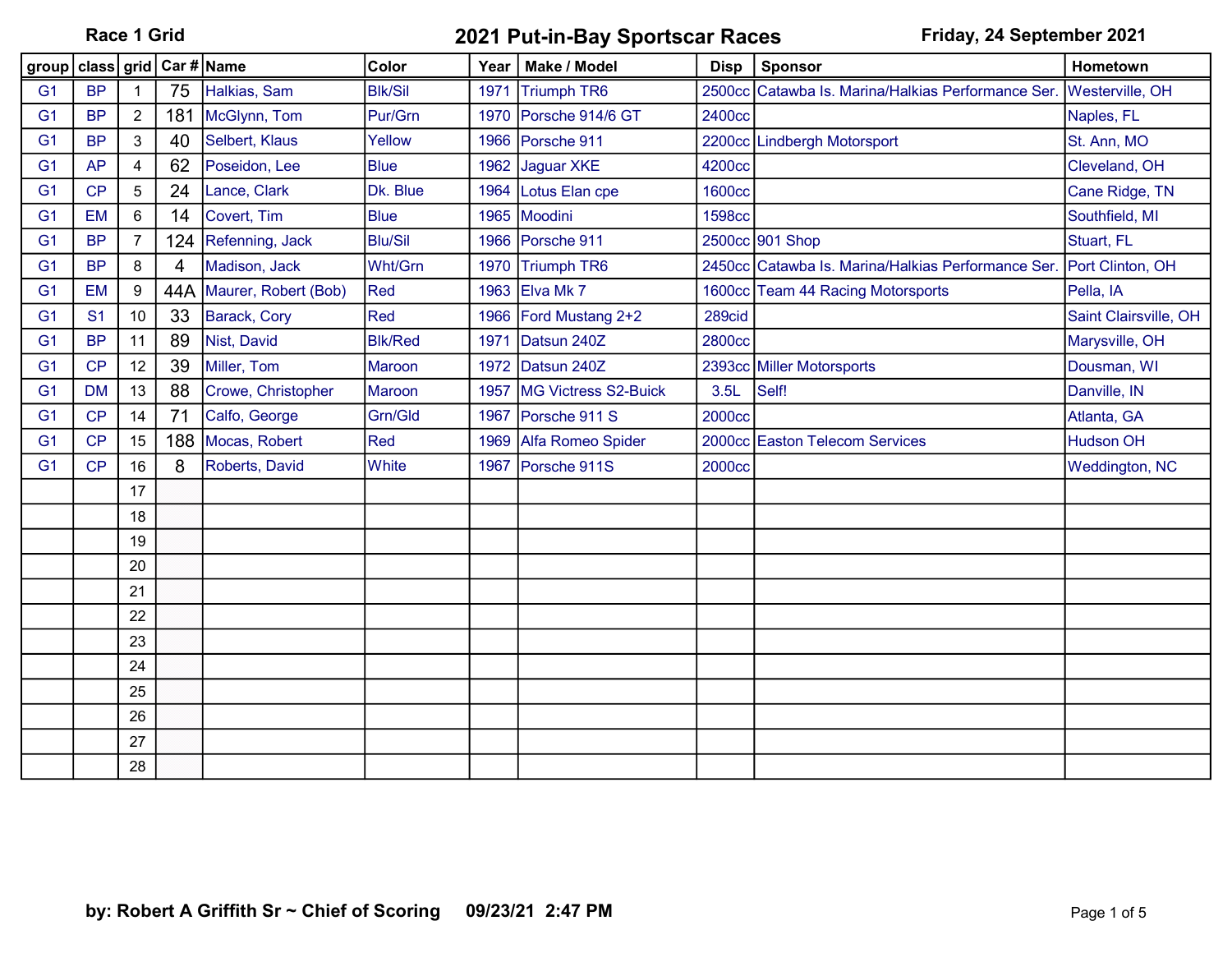|                |                |                |                | group   class   grid   Car # Name | Color          | Year | Make / Model          | <b>Disp</b>   | Sponsor                                                             | Hometown               |
|----------------|----------------|----------------|----------------|-----------------------------------|----------------|------|-----------------------|---------------|---------------------------------------------------------------------|------------------------|
| G <sub>1</sub> | <b>BP</b>      |                | 75             | Halkias, Sam                      | <b>Blk/Sil</b> | 1971 | Triumph TR6           |               | 2500cc Catawba Is. Marina/Halkias Performance Ser.                  | <b>Westerville, OH</b> |
| G <sub>1</sub> | <b>BP</b>      | $\overline{2}$ | 181            | McGlynn, Tom                      | Pur/Grn        |      | 1970 Porsche 914/6 GT | 2400cc        |                                                                     | Naples, FL             |
| G <sub>1</sub> | <b>BP</b>      | $\mathbf{3}$   | 40             | Selbert, Klaus                    | Yellow         |      | 1966 Porsche 911      |               | 2200cc Lindbergh Motorsport                                         | St. Ann, MO            |
| G <sub>1</sub> | <b>AP</b>      | $\overline{4}$ | 62             | Poseidon, Lee                     | <b>Blue</b>    | 1962 | Jaguar XKE            | 4200cc        |                                                                     | Cleveland, OH          |
| G <sub>1</sub> | CP             | $\overline{5}$ | 24             | Lance, Clark                      | Dk. Blue       | 1964 | Lotus Elan cpe        | <b>1600cc</b> |                                                                     | Cane Ridge, TN         |
| G <sub>1</sub> | <b>EM</b>      | 6              | 14             | Covert, Tim                       | <b>Blue</b>    |      | 1965 Moodini          | <b>1598cc</b> |                                                                     | Southfield, MI         |
| G <sub>1</sub> | <b>BP</b>      | 7              | 124            | Refenning, Jack                   | <b>Blu/Sil</b> |      | 1966 Porsche 911      |               | 2500cc 901 Shop                                                     | Stuart, FL             |
| G <sub>1</sub> | <b>BP</b>      | 8              | $\overline{4}$ | Madison, Jack                     | Wht/Grn        |      | 1970 Triumph TR6      |               | 2450cc Catawba Is. Marina/Halkias Performance Ser. Port Clinton, OH |                        |
| G <sub>1</sub> | <b>EM</b>      | 9              | 44A            | Maurer, Robert (Bob)              | Red            |      | 1963 Elva Mk 7        |               | 1600cc Team 44 Racing Motorsports                                   | Pella, IA              |
| G <sub>1</sub> | S <sub>1</sub> | 10             | 33             | Barack, Cory                      | Red            |      | 1966 Ford Mustang 2+2 | 289cid        |                                                                     | Saint Clairsville, OH  |
| G <sub>1</sub> | <b>BP</b>      | 11             | 89             | Nist, David                       | <b>Blk/Red</b> | 1971 | Datsun 240Z           | 2800cc        |                                                                     | Marysville, OH         |
| G <sub>1</sub> | CP             | 12             | 39             | Miller, Tom                       | <b>Maroon</b>  |      | 1972 Datsun 240Z      |               | 2393cc Miller Motorsports                                           | Dousman, WI            |
| G <sub>1</sub> | <b>DM</b>      | 13             | 88             | Crowe, Christopher                | Maroon         | 1957 | MG Victress S2-Buick  | 3.5L          | Self!                                                               | Danville, IN           |
| G <sub>1</sub> | CP             | 14             | 71             | Calfo, George                     | Grn/Gld        | 1967 | Porsche 911 S         | 2000cc        |                                                                     | Atlanta, GA            |
| G <sub>1</sub> | CP             | 15             | 188            | Mocas, Robert                     | Red            | 1969 | Alfa Romeo Spider     |               | 2000cc Easton Telecom Services                                      | <b>Hudson OH</b>       |
| G <sub>1</sub> | CP             | 16             | 8              | Roberts, David                    | <b>White</b>   | 1967 | Porsche 911S          | 2000cc        |                                                                     | <b>Weddington, NC</b>  |
|                |                | 17             |                |                                   |                |      |                       |               |                                                                     |                        |
|                |                | 18             |                |                                   |                |      |                       |               |                                                                     |                        |
|                |                | 19             |                |                                   |                |      |                       |               |                                                                     |                        |
|                |                | 20             |                |                                   |                |      |                       |               |                                                                     |                        |
|                |                | 21             |                |                                   |                |      |                       |               |                                                                     |                        |
|                |                | 22             |                |                                   |                |      |                       |               |                                                                     |                        |
|                |                | 23             |                |                                   |                |      |                       |               |                                                                     |                        |
|                |                | 24             |                |                                   |                |      |                       |               |                                                                     |                        |
|                |                | 25             |                |                                   |                |      |                       |               |                                                                     |                        |
|                |                | 26             |                |                                   |                |      |                       |               |                                                                     |                        |
|                |                | 27             |                |                                   |                |      |                       |               |                                                                     |                        |
|                |                | 28             |                |                                   |                |      |                       |               |                                                                     |                        |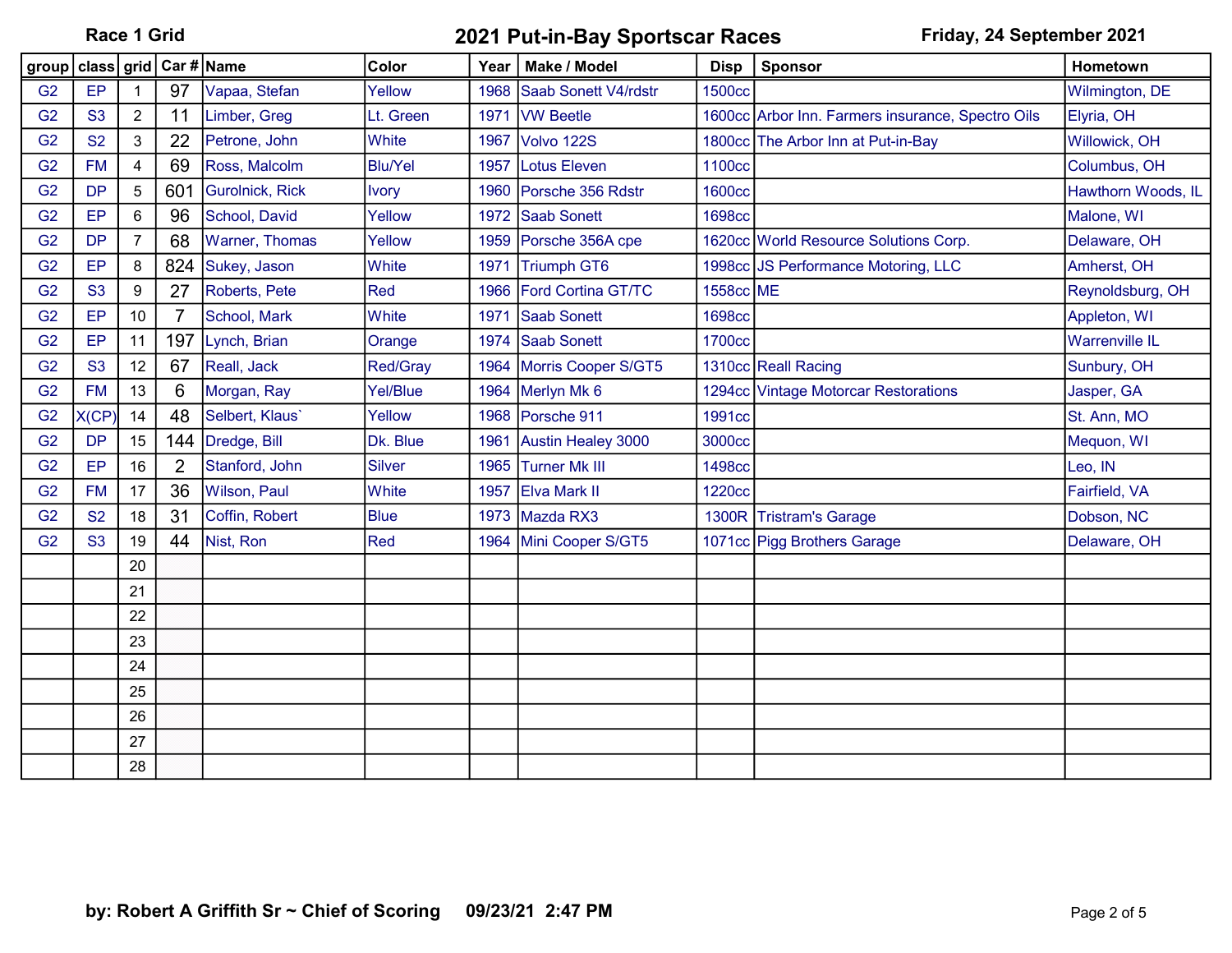|                | group   class   grid   Car #   Name |                  |                |                 | Color           | Year | Make / Model              | <b>Disp</b>   | Sponsor                                           | Hometown              |
|----------------|-------------------------------------|------------------|----------------|-----------------|-----------------|------|---------------------------|---------------|---------------------------------------------------|-----------------------|
| G <sub>2</sub> | EP                                  |                  | 97             | Vapaa, Stefan   | Yellow          |      | 1968 Saab Sonett V4/rdstr | 1500cc        |                                                   | Wilmington, DE        |
| G <sub>2</sub> | <b>S3</b>                           | $\overline{2}$   | 11             | Limber, Greg    | Lt. Green       | 1971 | <b>VW Beetle</b>          |               | 1600cc Arbor Inn. Farmers insurance, Spectro Oils | Elyria, OH            |
| G <sub>2</sub> | <b>S2</b>                           | 3                | 22             | Petrone, John   | White           | 1967 | Volvo 122S                |               | 1800cc The Arbor Inn at Put-in-Bay                | Willowick, OH         |
| G <sub>2</sub> | <b>FM</b>                           | $\overline{4}$   | 69             | Ross, Malcolm   | <b>Blu/Yel</b>  | 1957 | Lotus Eleven              | 1100cc        |                                                   | Columbus, OH          |
| G <sub>2</sub> | <b>DP</b>                           | 5                | 601            | Gurolnick, Rick | <b>Ivory</b>    | 1960 | Porsche 356 Rdstr         | <b>1600cc</b> |                                                   | Hawthorn Woods, IL    |
| G <sub>2</sub> | EP                                  | $6\phantom{1}6$  | 96             | School, David   | Yellow          |      | 1972 Saab Sonett          | <b>1698cc</b> |                                                   | Malone, WI            |
| G <sub>2</sub> | <b>DP</b>                           | $\overline{7}$   | 68             | Warner, Thomas  | Yellow          |      | 1959 Porsche 356A cpe     |               | 1620cc World Resource Solutions Corp.             | Delaware, OH          |
| G <sub>2</sub> | EP                                  | 8                | 824            | Sukey, Jason    | <b>White</b>    | 1971 | Triumph GT6               |               | 1998cc JS Performance Motoring, LLC               | Amherst, OH           |
| G <sub>2</sub> | S <sub>3</sub>                      | $\boldsymbol{9}$ | 27             | Roberts, Pete   | Red             | 1966 | Ford Cortina GT/TC        | 1558cc ME     |                                                   | Reynoldsburg, OH      |
| G <sub>2</sub> | EP                                  | 10               | 7              | School, Mark    | White           | 1971 | Saab Sonett               | <b>1698cc</b> |                                                   | Appleton, WI          |
| G <sub>2</sub> | EP                                  | 11               | 197            | Lynch, Brian    | Orange          |      | 1974 Saab Sonett          | 1700cc        |                                                   | <b>Warrenville IL</b> |
| G <sub>2</sub> | <b>S3</b>                           | 12               | 67             | Reall, Jack     | <b>Red/Gray</b> |      | 1964 Morris Cooper S/GT5  |               | 1310cc Reall Racing                               | Sunbury, OH           |
| G <sub>2</sub> | <b>FM</b>                           | 13               | 6              | Morgan, Ray     | Yel/Blue        |      | 1964 Merlyn Mk 6          |               | 1294cc Vintage Motorcar Restorations              | Jasper, GA            |
| G <sub>2</sub> | X(CP                                | 14               | 48             | Selbert, Klaus' | Yellow          |      | 1968 Porsche 911          | 1991cc        |                                                   | St. Ann, MO           |
| G <sub>2</sub> | <b>DP</b>                           | 15               | 144            | Dredge, Bill    | Dk. Blue        | 1961 | Austin Healey 3000        | 3000cc        |                                                   | Mequon, WI            |
| G <sub>2</sub> | EP                                  | 16               | $\overline{2}$ | Stanford, John  | Silver          |      | 1965 Turner Mk III        | <b>1498cc</b> |                                                   | Leo, IN               |
| G <sub>2</sub> | <b>FM</b>                           | 17               | 36             | Wilson, Paul    | White           | 1957 | <b>Elva Mark II</b>       | <b>1220cc</b> |                                                   | Fairfield, VA         |
| G <sub>2</sub> | <b>S2</b>                           | 18               | 31             | Coffin, Robert  | <b>Blue</b>     |      | 1973 Mazda RX3            |               | 1300R Tristram's Garage                           | Dobson, NC            |
| G <sub>2</sub> | S <sub>3</sub>                      | 19               | 44             | Nist, Ron       | <b>Red</b>      | 1964 | Mini Cooper S/GT5         |               | 1071cc Pigg Brothers Garage                       | Delaware, OH          |
|                |                                     | 20               |                |                 |                 |      |                           |               |                                                   |                       |
|                |                                     | 21               |                |                 |                 |      |                           |               |                                                   |                       |
|                |                                     | 22               |                |                 |                 |      |                           |               |                                                   |                       |
|                |                                     | 23               |                |                 |                 |      |                           |               |                                                   |                       |
|                |                                     | 24               |                |                 |                 |      |                           |               |                                                   |                       |
|                |                                     | 25               |                |                 |                 |      |                           |               |                                                   |                       |
|                |                                     | 26               |                |                 |                 |      |                           |               |                                                   |                       |
|                |                                     | 27               |                |                 |                 |      |                           |               |                                                   |                       |
|                |                                     | 28               |                |                 |                 |      |                           |               |                                                   |                       |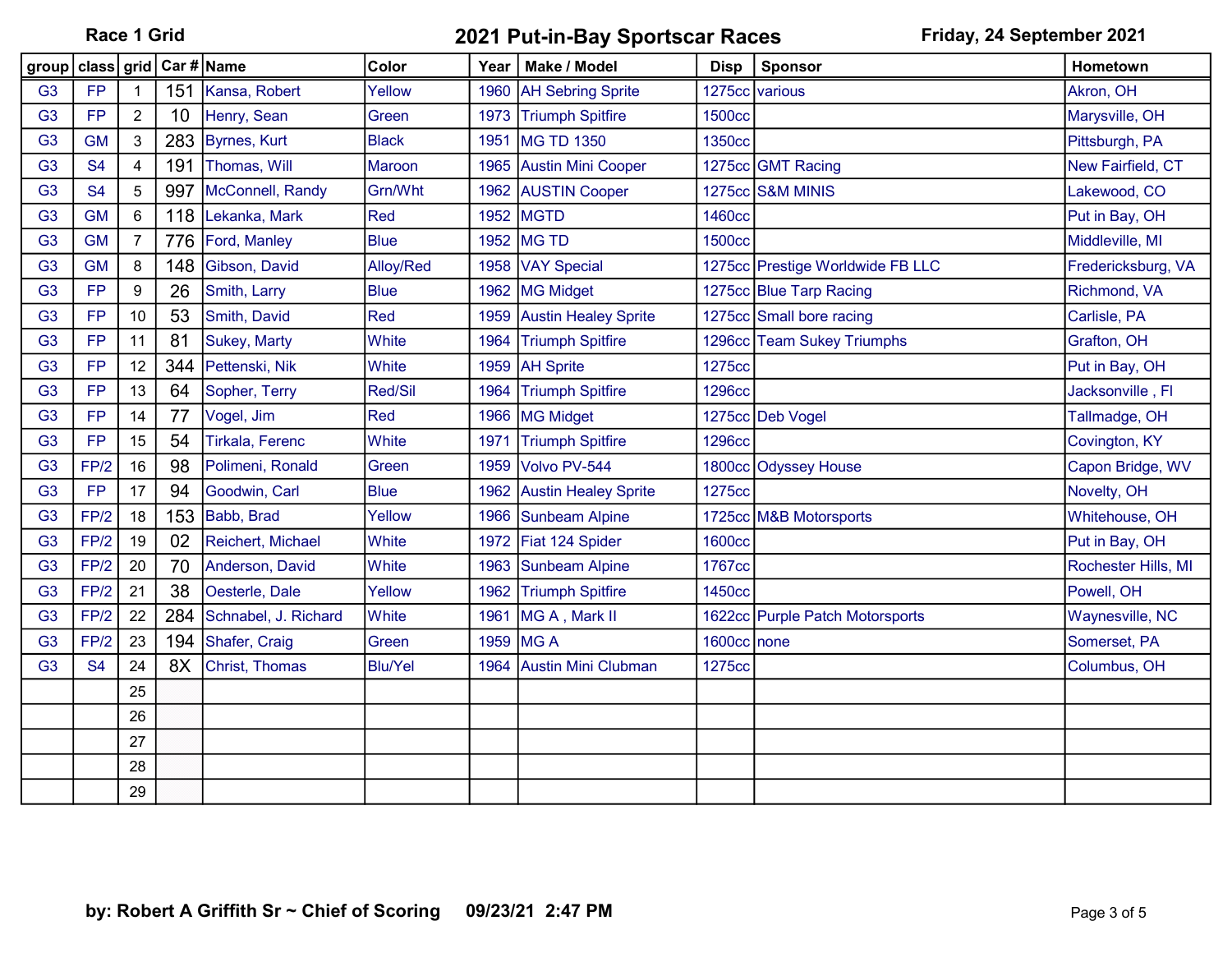| group   class   grid   Car #   Name |           |                  |     |                        | Color          | Year | Make / Model                | <b>Disp</b>   | Sponsor                          | Hometown            |
|-------------------------------------|-----------|------------------|-----|------------------------|----------------|------|-----------------------------|---------------|----------------------------------|---------------------|
| G <sub>3</sub>                      | <b>FP</b> |                  |     | 151 Kansa, Robert      | Yellow         | 1960 | <b>AH Sebring Sprite</b>    |               | 1275cc various                   | Akron, OH           |
| G <sub>3</sub>                      | <b>FP</b> | $\overline{2}$   | 10  | Henry, Sean            | Green          | 1973 | <b>Triumph Spitfire</b>     | <b>1500cc</b> |                                  | Marysville, OH      |
| G <sub>3</sub>                      | <b>GM</b> | 3                | 283 | Byrnes, Kurt           | <b>Black</b>   | 1951 | MG TD 1350                  | 1350cc        |                                  | Pittsburgh, PA      |
| G <sub>3</sub>                      | <b>S4</b> | 4                | 191 | Thomas, Will           | <b>Maroon</b>  | 1965 | <b>Austin Mini Cooper</b>   |               | 1275cc GMT Racing                | New Fairfield, CT   |
| G <sub>3</sub>                      | <b>S4</b> | $\overline{5}$   | 997 | McConnell, Randy       | Grn/Wht        | 1962 | <b>AUSTIN Cooper</b>        |               | 1275cc S&M MINIS                 | Lakewood, CO        |
| G <sub>3</sub>                      | <b>GM</b> | $\,6\,$          | 118 | Lekanka, Mark          | <b>Red</b>     | 1952 | <b>MGTD</b>                 | 1460cc        |                                  | Put in Bay, OH      |
| G <sub>3</sub>                      | <b>GM</b> | $\overline{7}$   | 776 | Ford, Manley           | <b>Blue</b>    |      | 1952 MG TD                  | <b>1500cc</b> |                                  | Middleville, MI     |
| G <sub>3</sub>                      | <b>GM</b> | 8                | 148 | Gibson, David          | Alloy/Red      |      | 1958 VAY Special            |               | 1275cc Prestige Worldwide FB LLC | Fredericksburg, VA  |
| G <sub>3</sub>                      | <b>FP</b> | $\boldsymbol{9}$ | 26  | Smith, Larry           | <b>Blue</b>    |      | 1962 MG Midget              |               | 1275cc Blue Tarp Racing          | Richmond, VA        |
| G <sub>3</sub>                      | <b>FP</b> | 10               | 53  | Smith, David           | Red            | 1959 | <b>Austin Healey Sprite</b> |               | 1275cc Small bore racing         | Carlisle, PA        |
| G <sub>3</sub>                      | <b>FP</b> | 11               | 81  | <b>Sukey, Marty</b>    | White          | 1964 | <b>Triumph Spitfire</b>     |               | 1296cc Team Sukey Triumphs       | Grafton, OH         |
| G <sub>3</sub>                      | <b>FP</b> | 12               | 344 | Pettenski, Nik         | White          | 1959 | <b>AH Sprite</b>            | 1275cc        |                                  | Put in Bay, OH      |
| G <sub>3</sub>                      | <b>FP</b> | 13               | 64  | Sopher, Terry          | Red/Sil        | 1964 | <b>Triumph Spitfire</b>     | <b>1296cc</b> |                                  | Jacksonville, Fl    |
| G <sub>3</sub>                      | <b>FP</b> | 14               | 77  | Vogel, Jim             | <b>Red</b>     |      | 1966 MG Midget              |               | 1275cc Deb Vogel                 | Tallmadge, OH       |
| G <sub>3</sub>                      | <b>FP</b> | 15               | 54  | <b>Tirkala, Ferenc</b> | White          | 1971 | <b>Triumph Spitfire</b>     | <b>1296cc</b> |                                  | Covington, KY       |
| G <sub>3</sub>                      | FP/2      | 16               | 98  | Polimeni, Ronald       | Green          | 1959 | Volvo PV-544                |               | 1800cc Odyssey House             | Capon Bridge, WV    |
| G <sub>3</sub>                      | <b>FP</b> | 17               | 94  | Goodwin, Carl          | <b>Blue</b>    | 1962 | <b>Austin Healey Sprite</b> | 1275cc        |                                  | Novelty, OH         |
| G <sub>3</sub>                      | FP/2      | 18               | 153 | Babb, Brad             | Yellow         | 1966 | Sunbeam Alpine              |               | 1725cc M&B Motorsports           | Whitehouse, OH      |
| G <sub>3</sub>                      | FP/2      | 19               | 02  | Reichert, Michael      | <b>White</b>   |      | 1972 Fiat 124 Spider        | <b>1600cc</b> |                                  | Put in Bay, OH      |
| G <sub>3</sub>                      | FP/2      | 20               | 70  | Anderson, David        | White          | 1963 | Sunbeam Alpine              | 1767cc        |                                  | Rochester Hills, MI |
| G <sub>3</sub>                      | FP/2      | 21               | 38  | Oesterle, Dale         | Yellow         |      | 1962 Triumph Spitfire       | 1450cc        |                                  | Powell, OH          |
| G <sub>3</sub>                      | FP/2      | 22               | 284 | Schnabel, J. Richard   | <b>White</b>   | 1961 | MG A, Mark II               |               | 1622cc Purple Patch Motorsports  | Waynesville, NC     |
| G <sub>3</sub>                      | FP/2      | 23               | 194 | Shafer, Craig          | Green          | 1959 | <b>MGA</b>                  | 1600cc none   |                                  | Somerset, PA        |
| G <sub>3</sub>                      | <b>S4</b> | 24               | 8X  | Christ, Thomas         | <b>Blu/Yel</b> | 1964 | <b>Austin Mini Clubman</b>  | 1275cc        |                                  | Columbus, OH        |
|                                     |           | 25               |     |                        |                |      |                             |               |                                  |                     |
|                                     |           | 26               |     |                        |                |      |                             |               |                                  |                     |
|                                     |           | 27               |     |                        |                |      |                             |               |                                  |                     |
|                                     |           | 28               |     |                        |                |      |                             |               |                                  |                     |
|                                     |           | 29               |     |                        |                |      |                             |               |                                  |                     |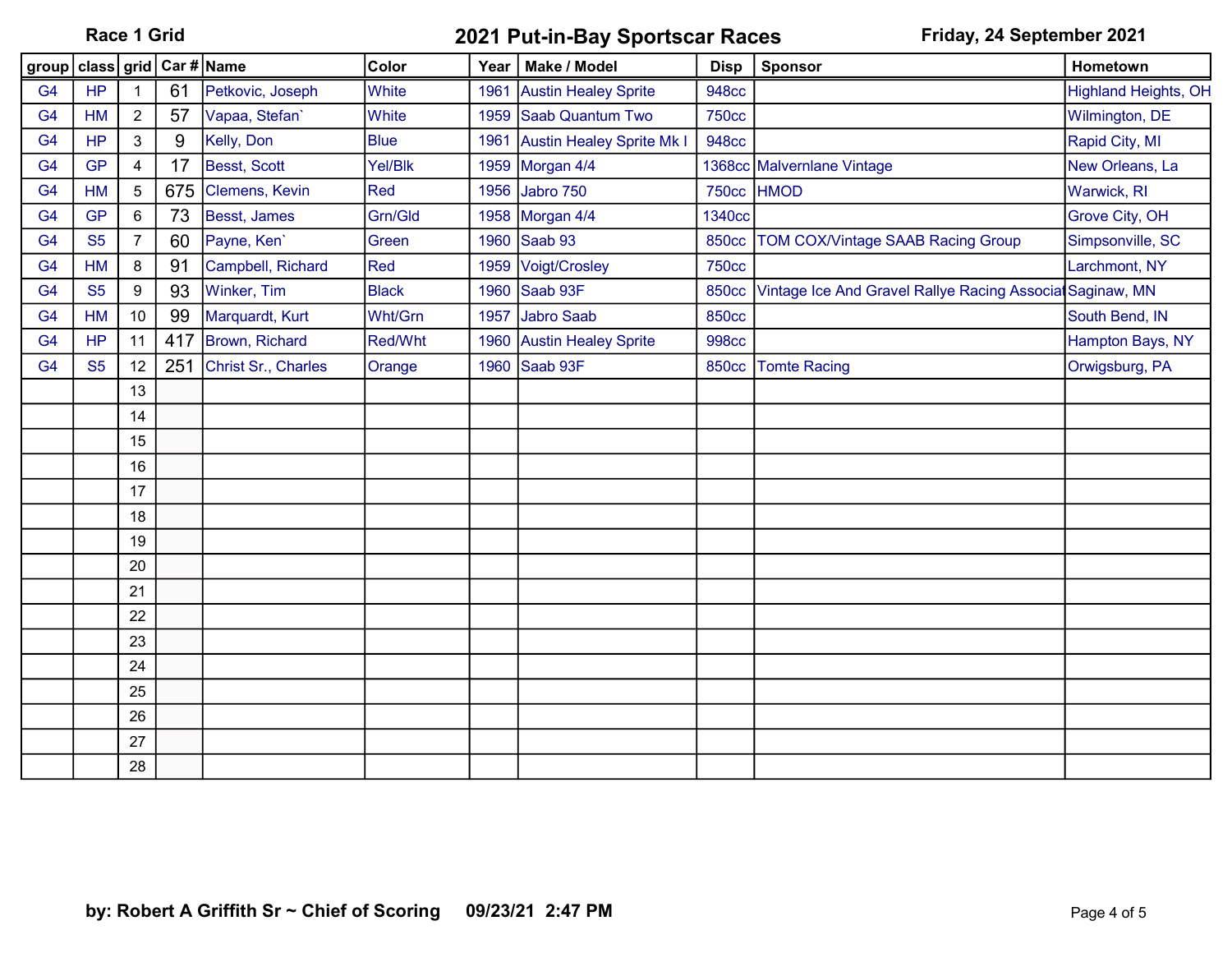|                | group   class   grid   Car #   Name |                |     |                     | Color          | Year | Make / Model                     | <b>Disp</b>   | Sponsor                                                   | Hometown                    |
|----------------|-------------------------------------|----------------|-----|---------------------|----------------|------|----------------------------------|---------------|-----------------------------------------------------------|-----------------------------|
| G <sub>4</sub> | <b>HP</b>                           |                | 61  | Petkovic, Joseph    | White          | 1961 | <b>Austin Healey Sprite</b>      | <b>948cc</b>  |                                                           | <b>Highland Heights, OH</b> |
| G <sub>4</sub> | <b>HM</b>                           | $\overline{2}$ | 57  | Vapaa, Stefan'      | White          | 1959 | Saab Quantum Two                 | <b>750cc</b>  |                                                           | Wilmington, DE              |
| G <sub>4</sub> | <b>HP</b>                           | $\mathfrak{Z}$ | 9   | Kelly, Don          | <b>Blue</b>    | 1961 | <b>Austin Healey Sprite Mk I</b> | <b>948cc</b>  |                                                           | Rapid City, MI              |
| G <sub>4</sub> | <b>GP</b>                           | $\overline{4}$ | 17  | Besst, Scott        | Yel/Blk        | 1959 | Morgan 4/4                       |               | 1368cc Malvernlane Vintage                                | New Orleans, La             |
| G <sub>4</sub> | <b>HM</b>                           | $\overline{5}$ | 675 | Clemens, Kevin      | <b>Red</b>     | 1956 | Jabro 750                        |               | 750cc HMOD                                                | Warwick, RI                 |
| G <sub>4</sub> | <b>GP</b>                           | $\,6\,$        | 73  | Besst, James        | Grn/Gld        |      | 1958 Morgan 4/4                  | <b>1340cc</b> |                                                           | Grove City, OH              |
| G <sub>4</sub> | <b>S5</b>                           | $\overline{7}$ | 60  | Payne, Ken'         | Green          |      | 1960 Saab 93                     | <b>850cc</b>  | <b>TOM COX/Vintage SAAB Racing Group</b>                  | Simpsonville, SC            |
| G <sub>4</sub> | <b>HM</b>                           | 8              | 91  | Campbell, Richard   | <b>Red</b>     | 1959 | Voigt/Crosley                    | <b>750cc</b>  |                                                           | Larchmont, NY               |
| G <sub>4</sub> | <b>S5</b>                           | 9              | 93  | Winker, Tim         | <b>Black</b>   | 1960 | Saab 93F                         | <b>850cc</b>  | Vintage Ice And Gravel Rallye Racing Associat Saginaw, MN |                             |
| G <sub>4</sub> | <b>HM</b>                           | 10             | 99  | Marquardt, Kurt     | Wht/Grn        | 1957 | Jabro Saab                       | <b>850cc</b>  |                                                           | South Bend, IN              |
| G4             | <b>HP</b>                           | 11             | 417 | Brown, Richard      | <b>Red/Wht</b> | 1960 | <b>Austin Healey Sprite</b>      | <b>998cc</b>  |                                                           | Hampton Bays, NY            |
| G <sub>4</sub> | <b>S5</b>                           | 12             | 251 | Christ Sr., Charles | Orange         | 1960 | Saab 93F                         | <b>850cc</b>  | <b>Tomte Racing</b>                                       | Orwigsburg, PA              |
|                |                                     | 13             |     |                     |                |      |                                  |               |                                                           |                             |
|                |                                     | 14             |     |                     |                |      |                                  |               |                                                           |                             |
|                |                                     | 15             |     |                     |                |      |                                  |               |                                                           |                             |
|                |                                     | 16             |     |                     |                |      |                                  |               |                                                           |                             |
|                |                                     | 17             |     |                     |                |      |                                  |               |                                                           |                             |
|                |                                     | 18             |     |                     |                |      |                                  |               |                                                           |                             |
|                |                                     | 19             |     |                     |                |      |                                  |               |                                                           |                             |
|                |                                     | 20             |     |                     |                |      |                                  |               |                                                           |                             |
|                |                                     | 21             |     |                     |                |      |                                  |               |                                                           |                             |
|                |                                     | 22             |     |                     |                |      |                                  |               |                                                           |                             |
|                |                                     | 23             |     |                     |                |      |                                  |               |                                                           |                             |
|                |                                     | 24             |     |                     |                |      |                                  |               |                                                           |                             |
|                |                                     | 25             |     |                     |                |      |                                  |               |                                                           |                             |
|                |                                     | 26             |     |                     |                |      |                                  |               |                                                           |                             |
|                |                                     | 27             |     |                     |                |      |                                  |               |                                                           |                             |
|                |                                     | 28             |     |                     |                |      |                                  |               |                                                           |                             |